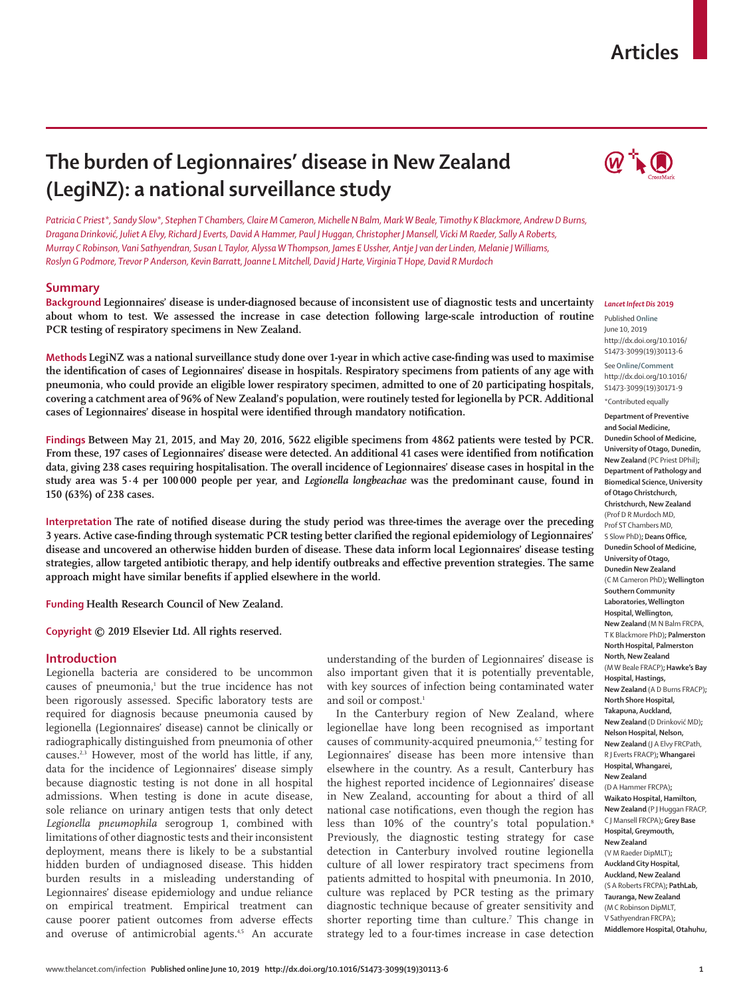# **Articles**

# **The burden of Legionnaires' disease in New Zealand (LegiNZ): a national surveillance study**

*Patricia C Priest\*, Sandy Slow\*, Stephen T Chambers, Claire M Cameron, Michelle N Balm, Mark W Beale, Timothy K Blackmore, Andrew D Burns, Dragana Drinković, Juliet A Elvy, Richard J Everts, David A Hammer, Paul J Huggan, Christopher J Mansell, Vicki M Raeder, Sally A Roberts, Murray C Robinson, Vani Sathyendran, Susan L Taylor, Alyssa W Thompson, James E Ussher, Antje J van der Linden, Melanie J Williams, Roslyn G Podmore, Trevor P Anderson, Kevin Barratt, Joanne L Mitchell, David J Harte, Virginia T Hope, David R Murdoch*

## **Summary**

**Background Legionnaires' disease is under-diagnosed because of inconsistent use of diagnostic tests and uncertainty about whom to test. We assessed the increase in case detection following large-scale introduction of routine PCR testing of respiratory specimens in New Zealand.**

**Methods LegiNZ was a national surveillance study done over 1-year in which active case-finding was used to maximise the identification of cases of Legionnaires' disease in hospitals. Respiratory specimens from patients of any age with pneumonia, who could provide an eligible lower respiratory specimen, admitted to one of 20 participating hospitals, covering a catchment area of 96% of New Zealand's population, were routinely tested for legionella by PCR. Additional cases of Legionnaires' disease in hospital were identified through mandatory notification.**

**Findings Between May 21, 2015, and May 20, 2016, 5622 eligible specimens from 4862 patients were tested by PCR. From these, 197 cases of Legionnaires' disease were detected. An additional 41 cases were identified from notification data, giving 238 cases requiring hospitalisation. The overall incidence of Legionnaires' disease cases in hospital in the study area was 5·4 per 100 000 people per year, and** *Legionella longbeachae* **was the predominant cause, found in 150 (63%) of 238 cases.**

**Interpretation The rate of notified disease during the study period was three-times the average over the preceding 3 years. Active case-finding through systematic PCR testing better clarified the regional epidemiology of Legionnaires' disease and uncovered an otherwise hidden burden of disease. These data inform local Legionnaires' disease testing strategies, allow targeted antibiotic therapy, and help identify outbreaks and effective prevention strategies. The same approach might have similar benefits if applied elsewhere in the world.**

**Funding Health Research Council of New Zealand.**

**Copyright © 2019 Elsevier Ltd. All rights reserved.**

## **Introduction**

Legionella bacteria are considered to be uncommon causes of pneumonia,<sup>1</sup> but the true incidence has not been rigorously assessed. Specific laboratory tests are required for diagnosis because pneumonia caused by legionella (Legionnaires' disease) cannot be clinically or radiographically distinguished from pneumonia of other causes.2,3 However, most of the world has little, if any, data for the incidence of Legionnaires' disease simply because diagnostic testing is not done in all hospital admissions. When testing is done in acute disease, sole reliance on urinary antigen tests that only detect *Legionella pneumophila* serogroup 1, combined with limitations of other diagnostic tests and their inconsistent deployment, means there is likely to be a substantial hidden burden of undiagnosed disease. This hidden burden results in a misleading understanding of Legionnaires' disease epidemiology and undue reliance on empirical treatment. Empirical treatment can cause poorer patient outcomes from adverse effects and overuse of antimicrobial agents.<sup>4,5</sup> An accurate

understanding of the burden of Legionnaires' disease is also important given that it is potentially preventable, with key sources of infection being contaminated water and soil or compost.<sup>1</sup>

In the Canterbury region of New Zealand, where legionellae have long been recognised as important causes of community-acquired pneumonia,<sup>6,7</sup> testing for Legionnaires' disease has been more intensive than elsewhere in the country. As a result, Canterbury has the highest reported incidence of Legionnaires' disease in New Zealand, accounting for about a third of all national case notifications, even though the region has less than 10% of the country's total population.<sup>8</sup> Previously, the diagnostic testing strategy for case detection in Canterbury involved routine legionella culture of all lower respiratory tract specimens from patients admitted to hospital with pneumonia. In 2010, culture was replaced by PCR testing as the primary diagnostic technique because of greater sensitivity and shorter reporting time than culture.<sup>7</sup> This change in strategy led to a four-times increase in case detection



#### *Lancet Infect Dis* **2019**

Published **Online** June 10, 2019 http://dx.doi.org/10.1016/ S1473-3099(19)30113-6

See**Online/Comment** http://dx.doi.org/10.1016/ S1473-3099(19)30171-9

\*Contributed equally

**Department of Preventive and Social Medicine, Dunedin School of Medicine, University of Otago, Dunedin, New Zealand** (PC Priest DPhil)**; Department of Pathology and Biomedical Science, University of Otago Christchurch, Christchurch, New Zealand**  (Prof D R Murdoch MD, Prof ST Chambers MD, S Slow PhD)**; Deans Office, Dunedin School of Medicine, University of Otago, Dunedin New Zealand**  (C M Cameron PhD)**; Wellington Southern Community Laboratories, Wellington Hospital, Wellington, New Zealand** (M N Balm FRCPA, T K Blackmore PhD)**; Palmerston North Hospital, Palmerston North, New Zealand**  (M W Beale FRACP)**; Hawke's Bay Hospital, Hastings, New Zealand** (A D Burns FRACP)**; North Shore Hospital, Takapuna, Auckland, New Zealand** (D Drinković MD)**; Nelson Hospital, Nelson, New Zealand** (J A Elvy FRCPath, R J Everts FRACP)**; Whangarei Hospital, Whangarei, New Zealand**  (D A Hammer FRCPA)**; Waikato Hospital, Hamilton, New Zealand** (P J Huggan FRACP, C J Mansell FRCPA)**; Grey Base Hospital, Greymouth, New Zealand**  (V M Raeder DipMLT)**; Auckland City Hospital, Auckland, New Zealand** (S A Roberts FRCPA)**; PathLab, Tauranga, New Zealand**  (M C Robinson DipMLT, V Sathyendran FRCPA)**; Middlemore Hospital, Otahuhu,**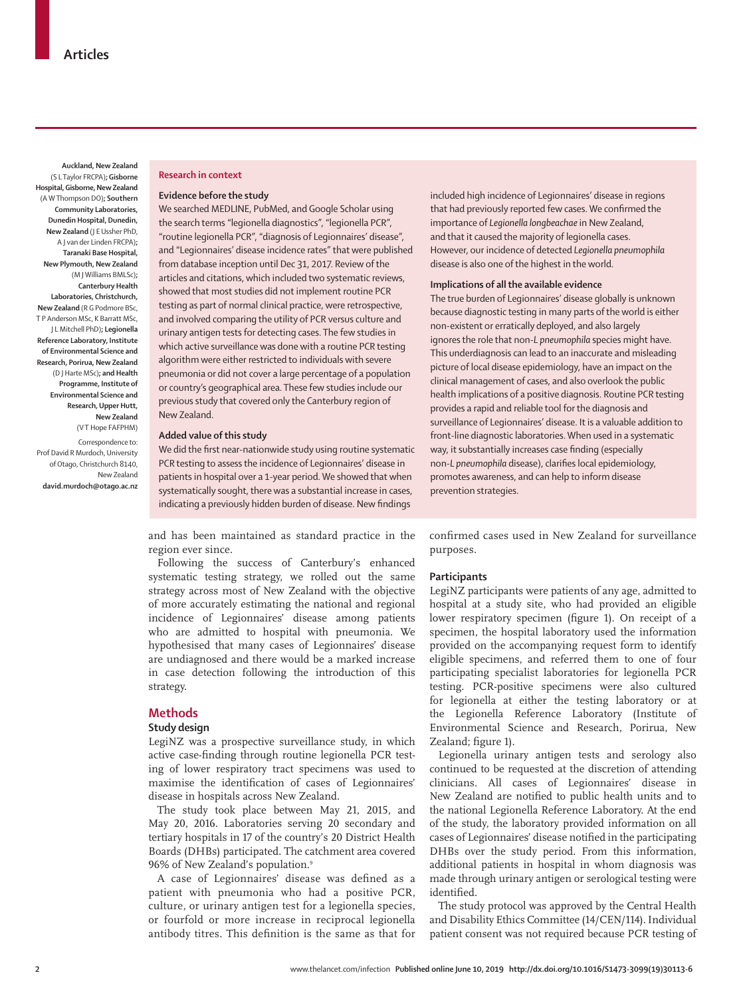**Auckland, New Zealand**  (S L Taylor FRCPA)**; Gisborne Hospital, Gisborne, New Zealand**  (A W Thompson DO)**; Southern Community Laboratories, Dunedin Hospital, Dunedin, New Zealand** (J E Ussher PhD, A J van der Linden FRCPA)**; Taranaki Base Hospital, New Plymouth, New Zealand**  (M J Williams BMLSc)**; Canterbury Health Laboratories, Christchurch, New Zealand** (R G Podmore BSc, T P Anderson MSc, K Barratt MSc, J L Mitchell PhD)**; Legionella Reference Laboratory, Institute of Environmental Science and Research, Porirua, New Zealand**  (D J Harte MSc)**; and Health Programme, Institute of Environmental Science and Research, Upper Hutt, New Zealand**  (V T Hope FAFPHM)

Correspondence to: Prof David R Murdoch, University of Otago, Christchurch 8140, New Zealand **david.murdoch@otago.ac.nz**

## **Research in context**

## **Evidence before the study**

We searched MEDLINE, PubMed, and Google Scholar using the search terms "legionella diagnostics", "legionella PCR", "routine legionella PCR", "diagnosis of Legionnaires' disease", and "Legionnaires' disease incidence rates" that were published from database inception until Dec 31, 2017. Review of the articles and citations, which included two systematic reviews, showed that most studies did not implement routine PCR testing as part of normal clinical practice, were retrospective, and involved comparing the utility of PCR versus culture and urinary antigen tests for detecting cases. The few studies in which active surveillance was done with a routine PCR testing algorithm were either restricted to individuals with severe pneumonia or did not cover a large percentage of a population or country's geographical area. These few studies include our previous study that covered only the Canterbury region of New Zealand.

## **Added value of this study**

We did the first near-nationwide study using routine systematic PCR testing to assess the incidence of Legionnaires' disease in patients in hospital over a 1-year period. We showed that when systematically sought, there was a substantial increase in cases, indicating a previously hidden burden of disease. New findings

and has been maintained as standard practice in the region ever since.

Following the success of Canterbury's enhanced systematic testing strategy, we rolled out the same strategy across most of New Zealand with the objective of more accurately estimating the national and regional incidence of Legionnaires' disease among patients who are admitted to hospital with pneumonia. We hypothesised that many cases of Legionnaires' disease are undiagnosed and there would be a marked increase in case detection following the introduction of this strategy.

## **Methods**

## **Study design**

LegiNZ was a prospective surveillance study, in which active case-finding through routine legionella PCR testing of lower respiratory tract specimens was used to maximise the identification of cases of Legionnaires' disease in hospitals across New Zealand.

The study took place between May 21, 2015, and May 20, 2016. Laboratories serving 20 secondary and tertiary hospitals in 17 of the country's 20 District Health Boards (DHBs) participated. The catchment area covered 96% of New Zealand's population.9

A case of Legionnaires' disease was defined as a patient with pneumonia who had a positive PCR, culture, or urinary antigen test for a legionella species, or fourfold or more increase in reciprocal legionella antibody titres. This definition is the same as that for included high incidence of Legionnaires' disease in regions that had previously reported few cases. We confirmed the importance of *Legionella longbeachae* in New Zealand, and that it caused the majority of legionella cases. However, our incidence of detected *Legionella pneumophila* disease is also one of the highest in the world.

### **Implications of all the available evidence**

The true burden of Legionnaires' disease globally is unknown because diagnostic testing in many parts of the world is either non-existent or erratically deployed, and also largely ignores the role that non-*L pneumophila* species might have. This underdiagnosiscan lead to an inaccurate and misleading picture of local disease epidemiology, have an impact on the clinical management of cases, and also overlook the public health implications of a positive diagnosis. Routine PCR testing provides a rapid and reliable tool for the diagnosis and surveillance of Legionnaires' disease. It is a valuable addition to front-line diagnostic laboratories. When used in a systematic way, it substantially increases case finding (especially non-*L pneumophila* disease), clarifies local epidemiology, promotes awareness, and can help to inform disease prevention strategies.

confirmed cases used in New Zealand for surveillance purposes.

## **Participants**

LegiNZ participants were patients of any age, admitted to hospital at a study site, who had provided an eligible lower respiratory specimen (figure 1). On receipt of a specimen, the hospital laboratory used the information provided on the accompanying request form to identify eligible specimens, and referred them to one of four participating specialist laboratories for legionella PCR testing. PCR-positive specimens were also cultured for legionella at either the testing laboratory or at the Legionella Reference Laboratory (Institute of Environmental Science and Research, Porirua, New Zealand; figure 1).

Legionella urinary antigen tests and serology also continued to be requested at the discretion of attending clinicians. All cases of Legionnaires' disease in New Zealand are notified to public health units and to the national Legionella Reference Laboratory. At the end of the study, the laboratory provided information on all cases of Legionnaires' disease notified in the participating DHBs over the study period. From this information, additional patients in hospital in whom diagnosis was made through urinary antigen or serological testing were identified.

The study protocol was approved by the Central Health and Disability Ethics Committee (14/CEN/114). Individual patient consent was not required because PCR testing of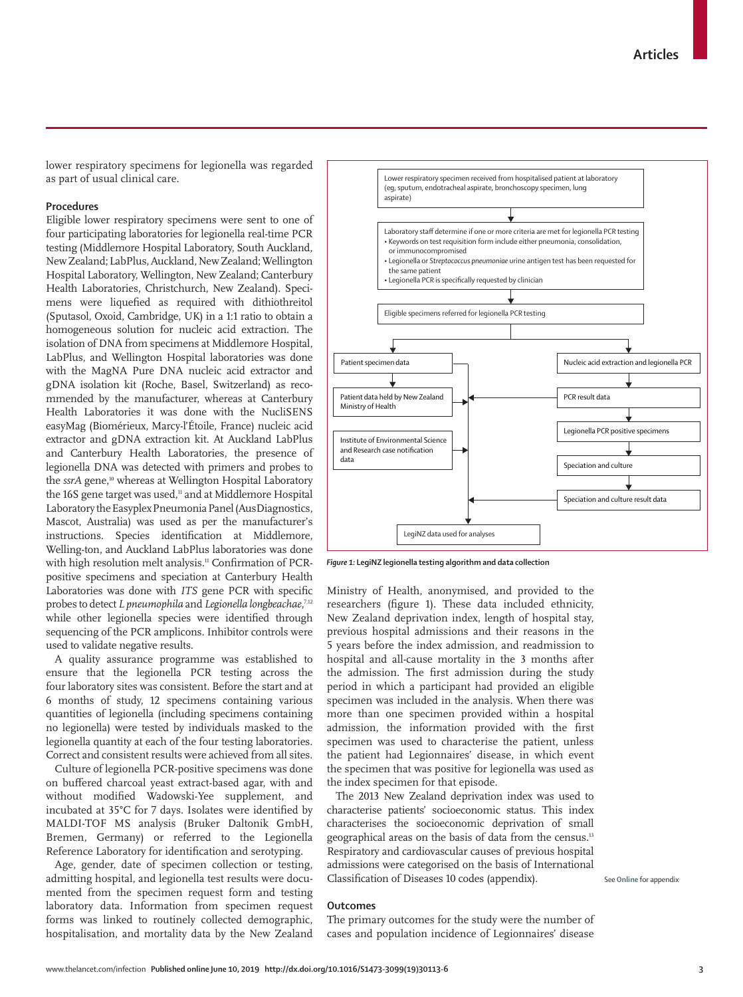lower respiratory specimens for legionella was regarded as part of usual clinical care.

## **Procedures**

Eligible lower respiratory specimens were sent to one of four participating laboratories for legionella real-time PCR testing (Middlemore Hospital Laboratory, South Auckland, New Zealand; LabPlus, Auckland, New Zealand; Wellington Hospital Laboratory, Wellington, New Zealand; Canterbury Health Laboratories, Christchurch, New Zealand). Specimens were liquefied as required with dithiothreitol (Sputasol, Oxoid, Cambridge, UK) in a 1:1 ratio to obtain a homogeneous solution for nucleic acid extraction. The isolation of DNA from specimens at Middlemore Hospital, LabPlus, and Wellington Hospital laboratories was done with the MagNA Pure DNA nucleic acid extractor and gDNA isolation kit (Roche, Basel, Switzerland) as recommended by the manufacturer, whereas at Canterbury Health Laboratories it was done with the NucliSENS easyMag (Biomérieux, Marcy-l'Étoile, France) nucleic acid extractor and gDNA extraction kit. At Auckland LabPlus and Canterbury Health Laboratories, the presence of legionella DNA was detected with primers and probes to the ssrA gene,<sup>10</sup> whereas at Wellington Hospital Laboratory the 16S gene target was used,<sup>11</sup> and at Middlemore Hospital Laboratory the Easyplex Pneumonia Panel (AusDiagnostics, Mascot, Australia) was used as per the manufacturer's instructions. Species identification at Middlemore, Welling-ton, and Auckland LabPlus laboratories was done with high resolution melt analysis.<sup>11</sup> Confirmation of PCRpositive specimens and speciation at Canterbury Health Laboratories was done with *ITS* gene PCR with specific probes to detect *L pneumophila* and *Legionella longbeachae*, 7,12 while other legionella species were identified through sequencing of the PCR amplicons. Inhibitor controls were used to validate negative results.

A quality assurance programme was established to ensure that the legionella PCR testing across the four laboratory sites was consistent. Before the start and at 6 months of study, 12 specimens containing various quantities of legionella (including specimens containing no legionella) were tested by individuals masked to the legionella quantity at each of the four testing laboratories. Correct and consistent results were achieved from all sites.

Culture of legionella PCR-positive specimens was done on buffered charcoal yeast extract-based agar, with and without modified Wadowski-Yee supplement, and incubated at 35°C for 7 days. Isolates were identified by MALDI-TOF MS analysis (Bruker Daltonik GmbH, Bremen, Germany) or referred to the Legionella Reference Laboratory for identification and serotyping.

Age, gender, date of specimen collection or testing, admitting hospital, and legionella test results were documented from the specimen request form and testing laboratory data. Information from specimen request forms was linked to routinely collected demographic, hospitalisation, and mortality data by the New Zealand



*Figure 1:* **LegiNZ legionella testing algorithm and data collection**

Ministry of Health, anonymised, and provided to the researchers (figure 1). These data included ethnicity, New Zealand deprivation index, length of hospital stay, previous hospital admissions and their reasons in the 5 years before the index admission, and readmission to hospital and all-cause mortality in the 3 months after the admission. The first admission during the study period in which a participant had provided an eligible specimen was included in the analysis. When there was more than one specimen provided within a hospital admission, the information provided with the first specimen was used to characterise the patient, unless the patient had Legionnaires' disease, in which event the specimen that was positive for legionella was used as the index specimen for that episode.

The 2013 New Zealand deprivation index was used to characterise patients' socioeconomic status. This index characterises the socioeconomic deprivation of small geographical areas on the basis of data from the census.13 Respiratory and cardiovascular causes of previous hospital admissions were categorised on the basis of International Classification of Diseases 10 codes (appendix).

See **Online** for appendix

## **Outcomes**

The primary outcomes for the study were the number of cases and population incidence of Legionnaires' disease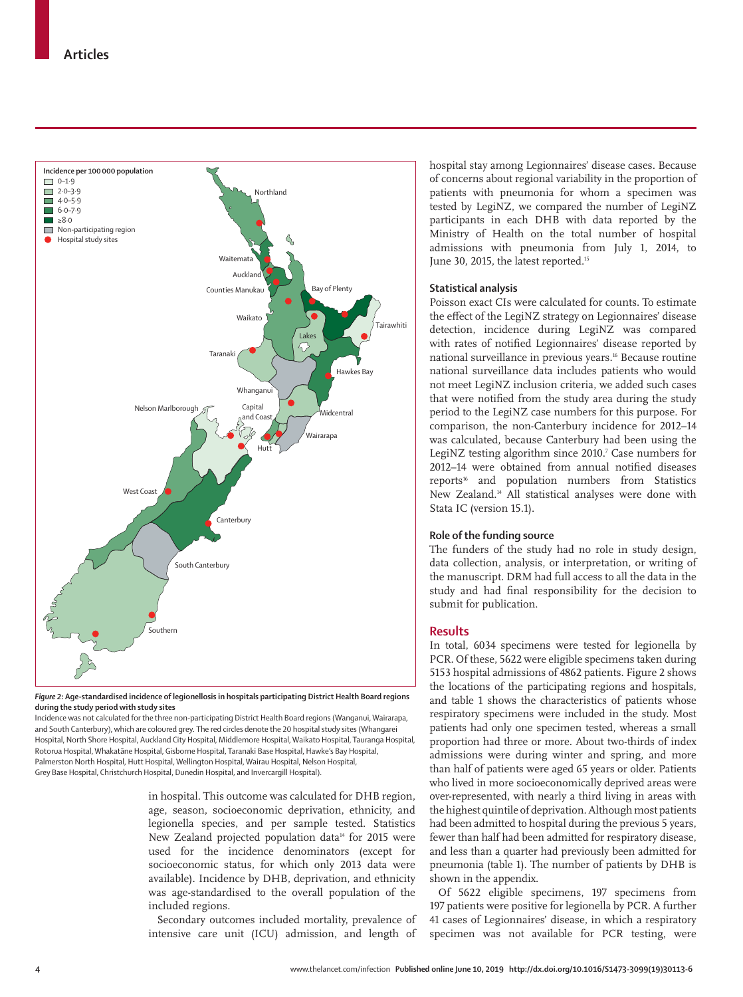

*Figure 2:* **Age-standardised incidence of legionellosis in hospitals participating District Health Board regions during the study period with study sites**

Incidence was not calculated for the three non-participating District Health Board regions (Wanganui, Wairarapa, and South Canterbury), which are coloured grey. The red circles denote the 20 hospital study sites (Whangarei Hospital, North Shore Hospital, Auckland City Hospital, Middlemore Hospital, Waikato Hospital, Tauranga Hospital, Rotorua Hospital, Whakatāne Hospital, Gisborne Hospital, Taranaki Base Hospital, Hawke's Bay Hospital, Palmerston North Hospital, Hutt Hospital, Wellington Hospital, Wairau Hospital, Nelson Hospital, Grey Base Hospital, Christchurch Hospital, Dunedin Hospital, and Invercargill Hospital).

> in hospital. This outcome was calculated for DHB region, age, season, socioeconomic deprivation, ethnicity, and legionella species, and per sample tested. Statistics New Zealand projected population data<sup>14</sup> for 2015 were used for the incidence denominators (except for socioeconomic status, for which only 2013 data were available). Incidence by DHB, deprivation, and ethnicity was age-standardised to the overall population of the included regions.

> Secondary outcomes included mortality, prevalence of intensive care unit (ICU) admission, and length of

hospital stay among Legionnaires' disease cases. Because of concerns about regional variability in the proportion of patients with pneumonia for whom a specimen was tested by LegiNZ, we compared the number of LegiNZ participants in each DHB with data reported by the Ministry of Health on the total number of hospital admissions with pneumonia from July 1, 2014, to June 30, 2015, the latest reported.<sup>15</sup>

## **Statistical analysis**

Poisson exact CIs were calculated for counts. To estimate the effect of the LegiNZ strategy on Legionnaires' disease detection, incidence during LegiNZ was compared with rates of notified Legionnaires' disease reported by national surveillance in previous years.16 Because routine national surveillance data includes patients who would not meet LegiNZ inclusion criteria, we added such cases that were notified from the study area during the study period to the LegiNZ case numbers for this purpose. For comparison, the non-Canterbury incidence for 2012–14 was calculated, because Canterbury had been using the LegiNZ testing algorithm since 2010.<sup>7</sup> Case numbers for 2012–14 were obtained from annual notified diseases reports<sup>16</sup> and population numbers from Statistics New Zealand.14 All statistical analyses were done with Stata IC (version 15.1).

## **Role of the funding source**

The funders of the study had no role in study design, data collection, analysis, or interpretation, or writing of the manuscript. DRM had full access to all the data in the study and had final responsibility for the decision to submit for publication.

## **Results**

In total, 6034 specimens were tested for legionella by PCR. Of these, 5622 were eligible specimens taken during 5153 hospital admissions of 4862 patients. Figure 2 shows the locations of the participating regions and hospitals, and table 1 shows the characteristics of patients whose respiratory specimens were included in the study. Most patients had only one specimen tested, whereas a small proportion had three or more. About two-thirds of index admissions were during winter and spring, and more than half of patients were aged 65 years or older. Patients who lived in more socioeconomically deprived areas were over-represented, with nearly a third living in areas with the highest quintile of deprivation. Although most patients had been admitted to hospital during the previous 5 years, fewer than half had been admitted for respiratory disease, and less than a quarter had previously been admitted for pneumonia (table 1). The number of patients by DHB is shown in the appendix.

Of 5622 eligible specimens, 197 specimens from 197 patients were positive for legionella by PCR. A further 41 cases of Legionnaires' disease, in which a respiratory specimen was not available for PCR testing, were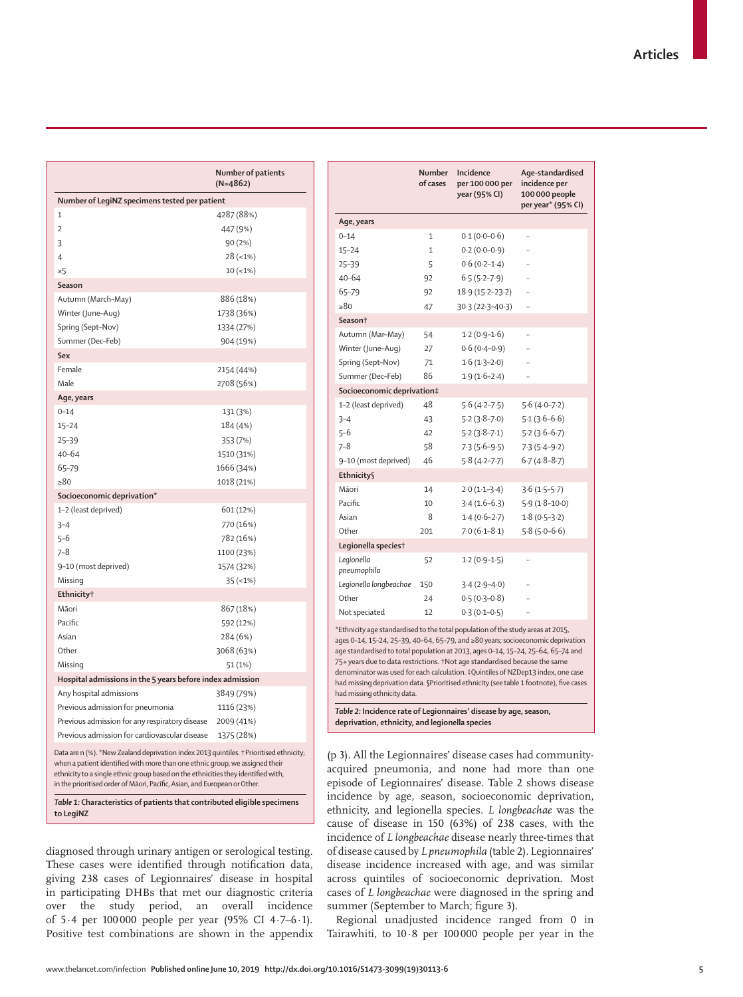|                                                                                                                                                                                                                                                             | Number of patients<br>$(N=4862)$ |  |  |  |
|-------------------------------------------------------------------------------------------------------------------------------------------------------------------------------------------------------------------------------------------------------------|----------------------------------|--|--|--|
| Number of LegiNZ specimens tested per patient                                                                                                                                                                                                               |                                  |  |  |  |
| $\mathbf{1}$                                                                                                                                                                                                                                                | 4287 (88%)                       |  |  |  |
| $\overline{2}$                                                                                                                                                                                                                                              | 447 (9%)                         |  |  |  |
| $\overline{\mathbf{3}}$                                                                                                                                                                                                                                     | 90 (2%)                          |  |  |  |
| 4                                                                                                                                                                                                                                                           | $28 (-1%)$                       |  |  |  |
| $\geq$ 5                                                                                                                                                                                                                                                    | $10 (-1%)$                       |  |  |  |
| Season                                                                                                                                                                                                                                                      |                                  |  |  |  |
| Autumn (March-May)                                                                                                                                                                                                                                          | 886 (18%)                        |  |  |  |
| Winter (June-Aug)                                                                                                                                                                                                                                           | 1738 (36%)                       |  |  |  |
| Spring (Sept-Nov)                                                                                                                                                                                                                                           | 1334 (27%)                       |  |  |  |
| Summer (Dec-Feb)                                                                                                                                                                                                                                            | 904 (19%)                        |  |  |  |
| Sex                                                                                                                                                                                                                                                         |                                  |  |  |  |
| Female                                                                                                                                                                                                                                                      | 2154 (44%)                       |  |  |  |
| Male                                                                                                                                                                                                                                                        | 2708 (56%)                       |  |  |  |
| Age, years                                                                                                                                                                                                                                                  |                                  |  |  |  |
| $0 - 14$                                                                                                                                                                                                                                                    | 131 (3%)                         |  |  |  |
| $15 - 24$                                                                                                                                                                                                                                                   | 184 (4%)                         |  |  |  |
| $25 - 39$                                                                                                                                                                                                                                                   | 353 (7%)                         |  |  |  |
| $40 - 64$                                                                                                                                                                                                                                                   | 1510 (31%)                       |  |  |  |
| 65-79                                                                                                                                                                                                                                                       | 1666 (34%)                       |  |  |  |
| $\geq 80$                                                                                                                                                                                                                                                   | 1018 (21%)                       |  |  |  |
| Socioeconomic deprivation*                                                                                                                                                                                                                                  |                                  |  |  |  |
| 1-2 (least deprived)                                                                                                                                                                                                                                        | 601 (12%)                        |  |  |  |
| $3 - 4$                                                                                                                                                                                                                                                     | 770 (16%)                        |  |  |  |
| $5 - 6$                                                                                                                                                                                                                                                     | 782 (16%)                        |  |  |  |
| $7 - 8$                                                                                                                                                                                                                                                     | 1100 (23%)                       |  |  |  |
| 9-10 (most deprived)                                                                                                                                                                                                                                        | 1574 (32%)                       |  |  |  |
| Missing                                                                                                                                                                                                                                                     | $35 (-1%)$                       |  |  |  |
| Ethnicity <sup>+</sup>                                                                                                                                                                                                                                      |                                  |  |  |  |
| Māori                                                                                                                                                                                                                                                       | 867 (18%)                        |  |  |  |
| Pacific                                                                                                                                                                                                                                                     | 592 (12%)                        |  |  |  |
| Asian                                                                                                                                                                                                                                                       | 284 (6%)                         |  |  |  |
| Other                                                                                                                                                                                                                                                       | 3068 (63%)                       |  |  |  |
| Missing                                                                                                                                                                                                                                                     | 51 (1%)                          |  |  |  |
| Hospital admissions in the 5 years before index admission                                                                                                                                                                                                   |                                  |  |  |  |
| Any hospital admissions                                                                                                                                                                                                                                     | 3849 (79%)                       |  |  |  |
| Previous admission for pneumonia                                                                                                                                                                                                                            | 1116 (23%)                       |  |  |  |
| Previous admission for any respiratory disease                                                                                                                                                                                                              | 2009 (41%)                       |  |  |  |
| Previous admission for cardiovascular disease                                                                                                                                                                                                               | 1375 (28%)                       |  |  |  |
| Data are n (%). *New Zealand deprivation index 2013 quintiles. †Prioritised ethnicity;<br>when a patient identified with more than one ethnic group, we assigned their<br>ethnicity to a single ethnic group based on the ethnicities they identified with, |                                  |  |  |  |

|                                                                                                                                                                                                                                                                                                                                                                                                                                                                                                                                                    | <b>Number</b><br>of cases | Incidence<br>per 100 000 per<br>year (95% CI) | Age-standardised<br>incidence per<br>100 000 people<br>per year* (95% CI) |  |
|----------------------------------------------------------------------------------------------------------------------------------------------------------------------------------------------------------------------------------------------------------------------------------------------------------------------------------------------------------------------------------------------------------------------------------------------------------------------------------------------------------------------------------------------------|---------------------------|-----------------------------------------------|---------------------------------------------------------------------------|--|
| Age, years                                                                                                                                                                                                                                                                                                                                                                                                                                                                                                                                         |                           |                                               |                                                                           |  |
| $0 - 14$                                                                                                                                                                                                                                                                                                                                                                                                                                                                                                                                           | $\mathbf{1}$              | $0.1(0.0-0.6)$                                |                                                                           |  |
| $15 - 24$                                                                                                                                                                                                                                                                                                                                                                                                                                                                                                                                          | $\mathbf{1}$              | $0.2(0.0-0.9)$                                |                                                                           |  |
| $25 - 39$                                                                                                                                                                                                                                                                                                                                                                                                                                                                                                                                          | 5                         | $0.6(0.2-1.4)$                                | $\ddot{\phantom{a}}$                                                      |  |
| $40 - 64$                                                                                                                                                                                                                                                                                                                                                                                                                                                                                                                                          | 92                        | $6.5(5.2 - 7.9)$                              |                                                                           |  |
| 65-79                                                                                                                                                                                                                                                                                                                                                                                                                                                                                                                                              | 92                        | 18.9 (15.2-23.2)                              |                                                                           |  |
| >80                                                                                                                                                                                                                                                                                                                                                                                                                                                                                                                                                | 47                        | 30-3 (22-3-40-3)                              |                                                                           |  |
| Season <sup>+</sup>                                                                                                                                                                                                                                                                                                                                                                                                                                                                                                                                |                           |                                               |                                                                           |  |
| Autumn (Mar-May)                                                                                                                                                                                                                                                                                                                                                                                                                                                                                                                                   | 54                        | $1.2(0.9-1.6)$                                |                                                                           |  |
| Winter (June-Aug)                                                                                                                                                                                                                                                                                                                                                                                                                                                                                                                                  | 27                        | $0.6(0.4-0.9)$                                |                                                                           |  |
| Spring (Sept-Nov)                                                                                                                                                                                                                                                                                                                                                                                                                                                                                                                                  | 71                        | $1.6(1.3-2.0)$                                |                                                                           |  |
| Summer (Dec-Feb)                                                                                                                                                                                                                                                                                                                                                                                                                                                                                                                                   | 86                        | $1.9(1.6-2.4)$                                |                                                                           |  |
| Socioeconomic deprivation‡                                                                                                                                                                                                                                                                                                                                                                                                                                                                                                                         |                           |                                               |                                                                           |  |
| 1-2 (least deprived)                                                                                                                                                                                                                                                                                                                                                                                                                                                                                                                               | 48                        | $5.6(4.2 - 7.5)$                              | $5.6(4.0-7.2)$                                                            |  |
| $3 - 4$                                                                                                                                                                                                                                                                                                                                                                                                                                                                                                                                            | 43                        | $5.2(3.8-7.0)$                                | $5.1(3.6-6.6)$                                                            |  |
| $5 - 6$                                                                                                                                                                                                                                                                                                                                                                                                                                                                                                                                            | 42                        | $5.2(3.8-7.1)$                                | $5.2(3.6-6.7)$                                                            |  |
| $7 - 8$                                                                                                                                                                                                                                                                                                                                                                                                                                                                                                                                            | 58                        | $7.3(5.6-9.5)$                                | $7.3(5.4-9.2)$                                                            |  |
| 9-10 (most deprived)                                                                                                                                                                                                                                                                                                                                                                                                                                                                                                                               | 46                        | $5.8(4.2 - 7.7)$                              | $6.7(4.8-8.7)$                                                            |  |
| Ethnicity§                                                                                                                                                                                                                                                                                                                                                                                                                                                                                                                                         |                           |                                               |                                                                           |  |
| Māori                                                                                                                                                                                                                                                                                                                                                                                                                                                                                                                                              | 14                        | $2.0(1.1-3.4)$                                | $3.6(1.5-5.7)$                                                            |  |
| Pacific                                                                                                                                                                                                                                                                                                                                                                                                                                                                                                                                            | 10                        | $3.4(1.6-6.3)$                                | $5.9(1.8-10.0)$                                                           |  |
| Asian                                                                                                                                                                                                                                                                                                                                                                                                                                                                                                                                              | 8                         | $1.4(0.6-2.7)$                                | $1.8(0.5-3.2)$                                                            |  |
| Other                                                                                                                                                                                                                                                                                                                                                                                                                                                                                                                                              | 201                       | $7.0(6.1 - 8.1)$                              | $5.8(5.0-6.6)$                                                            |  |
| Legionella species†                                                                                                                                                                                                                                                                                                                                                                                                                                                                                                                                |                           |                                               |                                                                           |  |
| Legionella<br>pneumophila                                                                                                                                                                                                                                                                                                                                                                                                                                                                                                                          | 52                        | $1.2(0.9-1.5)$                                |                                                                           |  |
| Legionella longbeachae                                                                                                                                                                                                                                                                                                                                                                                                                                                                                                                             | 150                       | $3.4(2.9 - 4.0)$                              |                                                                           |  |
| Other                                                                                                                                                                                                                                                                                                                                                                                                                                                                                                                                              | 24                        | $0.5(0.3-0.8)$                                | $\ddot{\phantom{a}}$                                                      |  |
| Not speciated                                                                                                                                                                                                                                                                                                                                                                                                                                                                                                                                      | 12                        | $0.3(0.1 - 0.5)$                              |                                                                           |  |
| *Ethnicity age standardised to the total population of the study areas at 2015,<br>ages 0-14, 15-24, 25-39, 40-64, 65-79, and ≥80 years; socioeconomic deprivation<br>age standardised to total population at 2013, ages 0-14, 15-24, 25-64, 65-74 and<br>75+ years due to data restrictions. †Not age standardised because the same<br>denominator was used for each calculation. #Quintiles of NZDep13 index, one case<br>had missing deprivation data. §Prioritised ethnicity (see table 1 footnote), five cases<br>had missing ethnicity data. |                           |                                               |                                                                           |  |

in the prioritised order of Māori, Pacific, Asian, and European or Other.

*Table 1:* **Characteristics of patients that contributed eligible specimens to LegiNZ**

diagnosed through urinary antigen or serological testing. These cases were identified through notification data, giving 238 cases of Legionnaires' disease in hospital in participating DHBs that met our diagnostic criteria over the study period, an overall incidence of 5·4 per 100 000 people per year (95% CI 4·7–6·1). Positive test combinations are shown in the appendix (p 3). All the Legionnaires' disease cases had communityacquired pneumonia, and none had more than one episode of Legionnaires' disease. Table 2 shows disease incidence by age, season, socioeconomic deprivation, ethnicity, and legionella species. *L longbeachae* was the cause of disease in 150 (63%) of 238 cases, with the incidence of *L longbeachae* disease nearly three-times that of disease caused by *L pneumophila* (table 2)*.* Legionnaires' disease incidence increased with age, and was similar across quintiles of socioeconomic deprivation. Most cases of *L longbeachae* were diagnosed in the spring and summer (September to March; figure 3).

*Table 2:* **Incidence rate of Legionnaires' disease by age, season,** 

**deprivation, ethnicity, and legionella species**

Regional unadjusted incidence ranged from 0 in Tairawhiti, to 10·8 per 100 000 people per year in the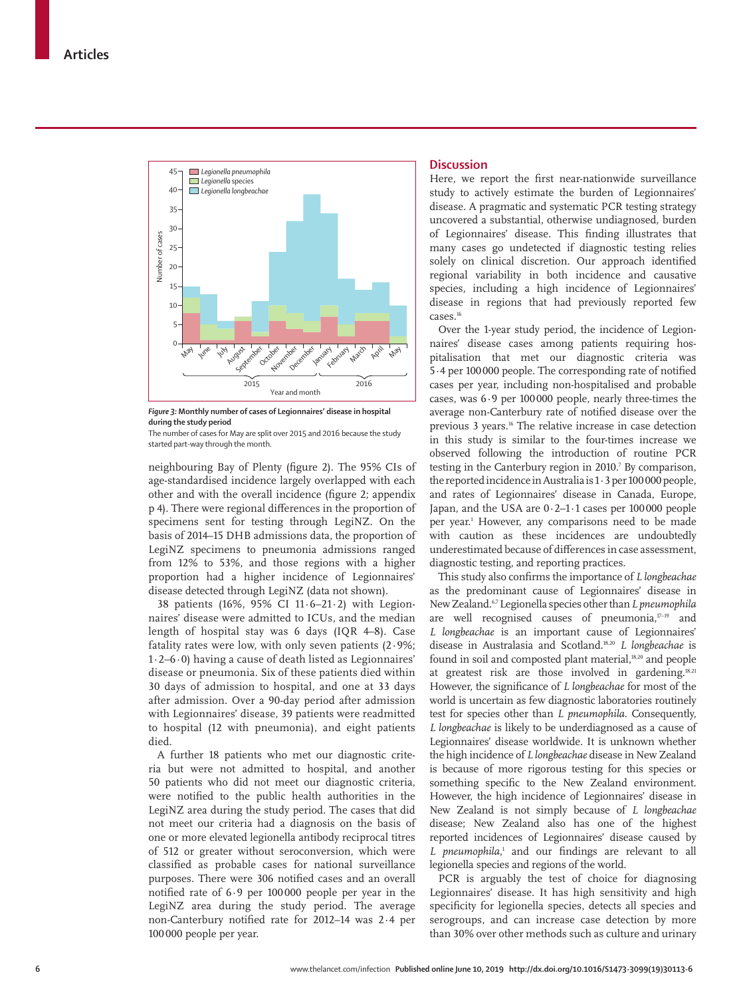

*Figure 3:* **Monthly number of cases of Legionnaires' disease in hospital during the study period**

The number of cases for May are split over 2015 and 2016 because the study

neighbouring Bay of Plenty (figure 2). The 95% CIs of age-standardised incidence largely overlapped with each other and with the overall incidence (figure 2; appendix p 4). There were regional differences in the proportion of specimens sent for testing through LegiNZ. On the basis of 2014–15 DHB admissions data, the proportion of LegiNZ specimens to pneumonia admissions ranged from 12% to 53%, and those regions with a higher proportion had a higher incidence of Legionnaires' disease detected through LegiNZ (data not shown).

38 patients (16%, 95% CI 11·6–21·2) with Legionnaires' disease were admitted to ICUs, and the median length of hospital stay was 6 days (IQR 4–8). Case fatality rates were low, with only seven patients  $(2.9\%;$ 1·2–6·0) having a cause of death listed as Legionnaires' disease or pneumonia. Six of these patients died within 30 days of admission to hospital, and one at 33 days after admission. Over a 90-day period after admission with Legionnaires' disease, 39 patients were readmitted to hospital (12 with pneumonia), and eight patients died.

A further 18 patients who met our diagnostic criteria but were not admitted to hospital, and another 50 patients who did not meet our diagnostic criteria, were notified to the public health authorities in the LegiNZ area during the study period. The cases that did not meet our criteria had a diagnosis on the basis of one or more elevated legionella antibody reciprocal titres of 512 or greater without seroconversion, which were classified as probable cases for national surveillance purposes. There were 306 notified cases and an overall notified rate of 6·9 per 100000 people per year in the LegiNZ area during the study period. The average non-Canterbury notified rate for 2012–14 was 2·4 per 100 000 people per year.

## **Discussion**

Here, we report the first near-nationwide surveillance study to actively estimate the burden of Legionnaires' disease. A pragmatic and systematic PCR testing strategy uncovered a substantial, otherwise undiagnosed, burden of Legionnaires' disease. This finding illustrates that many cases go undetected if diagnostic testing relies solely on clinical discretion. Our approach identified regional variability in both incidence and causative species, including a high incidence of Legionnaires' disease in regions that had previously reported few  $CaseS$ <sup>16</sup>

Over the 1-year study period, the incidence of Legionnaires' disease cases among patients requiring hospitalisation that met our diagnostic criteria was 5·4 per 100000 people. The corresponding rate of notified cases per year, including non-hospitalised and probable cases, was  $6.9$  per  $100000$  people, nearly three-times the average non-Canterbury rate of notified disease over the previous 3 years.<sup>16</sup> The relative increase in case detection in this study is similar to the four-times increase we observed following the introduction of routine PCR testing in the Canterbury region in 2010.<sup>7</sup> By comparison, the reported incidence in Australia is 1·3 per 100000 people, and rates of Legionnaires' disease in Canada, Europe, Japan, and the USA are  $0.2-1.1$  cases per 100000 people per year.1 However, any comparisons need to be made with caution as these incidences are undoubtedly underestimated because of differences in case assessment, diagnostic testing, and reporting practices.

This study also confirms the importance of *L longbeachae* as the predominant cause of Legionnaires' disease in New Zealand.6,7 Legionella species other than *L pneumophila*  are well recognised causes of pneumonia,<sup>17-19</sup> and *L longbeachae* is an important cause of Legionnaires' disease in Australasia and Scotland.18,20 *L longbeachae* is found in soil and composted plant material,<sup>18,20</sup> and people at greatest risk are those involved in gardening.<sup>18,21</sup> However, the significance of *L longbeachae* for most of the world is uncertain as few diagnostic laboratories routinely test for species other than *L pneumophila*. Consequently, *L longbeachae* is likely to be underdiagnosed as a cause of Legionnaires' disease worldwide. It is unknown whether the high incidence of *L longbeachae* disease in New Zealand is because of more rigorous testing for this species or something specific to the New Zealand environment. However, the high incidence of Legionnaires' disease in New Zealand is not simply because of *L longbeachae*  disease; New Zealand also has one of the highest reported incidences of Legionnaires' disease caused by L pneumophila,<sup>1</sup> and our findings are relevant to all legionella species and regions of the world.

PCR is arguably the test of choice for diagnosing Legionnaires' disease. It has high sensitivity and high specificity for legionella species, detects all species and serogroups, and can increase case detection by more than 30% over other methods such as culture and urinary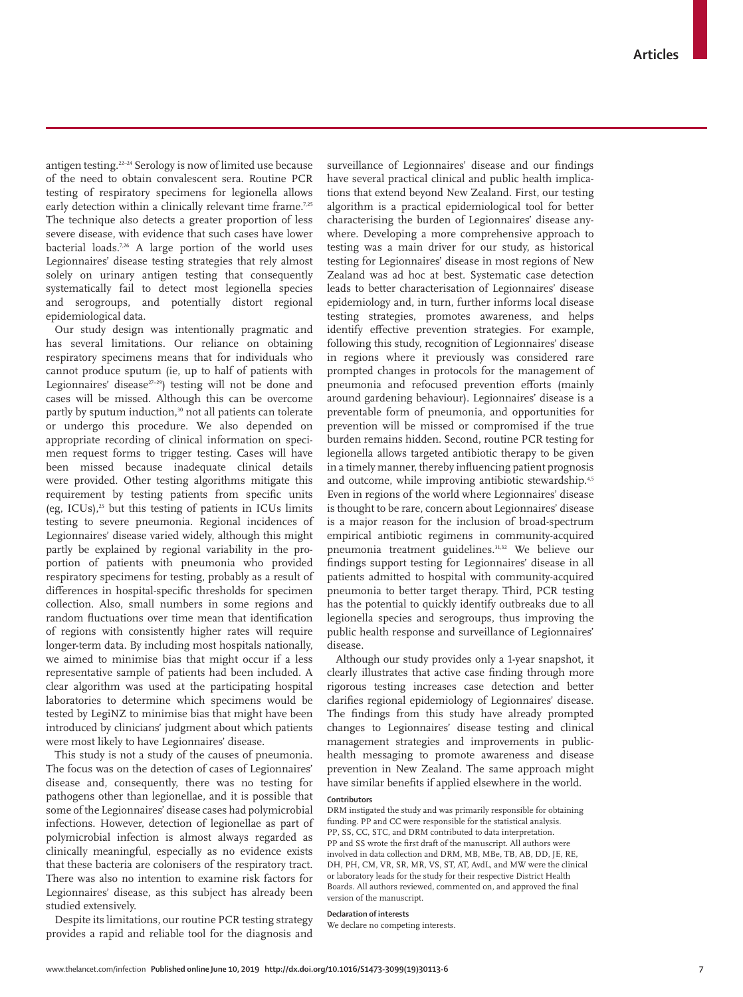antigen testing.22–24 Serology is now of limited use because of the need to obtain convalescent sera. Routine PCR testing of respiratory specimens for legionella allows early detection within a clinically relevant time frame.<sup>7,25</sup> The technique also detects a greater proportion of less severe disease, with evidence that such cases have lower bacterial loads.7,26 A large portion of the world uses Legionnaires' disease testing strategies that rely almost solely on urinary antigen testing that consequently systematically fail to detect most legionella species and serogroups, and potentially distort regional epidemiological data.

Our study design was intentionally pragmatic and has several limitations. Our reliance on obtaining respiratory specimens means that for individuals who cannot produce sputum (ie, up to half of patients with Legionnaires' disease $27-29$ ) testing will not be done and cases will be missed. Although this can be overcome partly by sputum induction,<sup>30</sup> not all patients can tolerate or undergo this procedure. We also depended on appropriate recording of clinical information on specimen request forms to trigger testing. Cases will have been missed because inadequate clinical details were provided. Other testing algorithms mitigate this requirement by testing patients from specific units (eg, ICUs), $^{25}$  but this testing of patients in ICUs limits testing to severe pneumonia. Regional incidences of Legionnaires' disease varied widely, although this might partly be explained by regional variability in the proportion of patients with pneumonia who provided respiratory specimens for testing, probably as a result of differences in hospital-specific thresholds for specimen collection. Also, small numbers in some regions and random fluctuations over time mean that identification of regions with consistently higher rates will require longer-term data. By including most hospitals nationally, we aimed to minimise bias that might occur if a less representative sample of patients had been included. A clear algorithm was used at the participating hospital laboratories to determine which specimens would be tested by LegiNZ to minimise bias that might have been introduced by clinicians' judgment about which patients were most likely to have Legionnaires' disease.

This study is not a study of the causes of pneumonia. The focus was on the detection of cases of Legionnaires' disease and, consequently, there was no testing for pathogens other than legionellae, and it is possible that some of the Legionnaires' disease cases had polymicrobial infections. However, detection of legionellae as part of polymicrobial infection is almost always regarded as clinically meaningful, especially as no evidence exists that these bacteria are colonisers of the respiratory tract. There was also no intention to examine risk factors for Legionnaires' disease, as this subject has already been studied extensively.

Despite its limitations, our routine PCR testing strategy provides a rapid and reliable tool for the diagnosis and surveillance of Legionnaires' disease and our findings have several practical clinical and public health implications that extend beyond New Zealand. First, our testing algorithm is a practical epidemiological tool for better characterising the burden of Legionnaires' disease anywhere. Developing a more comprehensive approach to testing was a main driver for our study, as historical testing for Legionnaires' disease in most regions of New Zealand was ad hoc at best. Systematic case detection leads to better characterisation of Legionnaires' disease epidemiology and, in turn, further informs local disease testing strategies, promotes awareness, and helps identify effective prevention strategies. For example, following this study, recognition of Legionnaires' disease in regions where it previously was considered rare prompted changes in protocols for the management of pneumonia and refocused prevention efforts (mainly around gardening behaviour). Legionnaires' disease is a preventable form of pneumonia, and opportunities for prevention will be missed or compromised if the true burden remains hidden. Second, routine PCR testing for legionella allows targeted antibiotic therapy to be given in a timely manner, thereby influencing patient prognosis and outcome, while improving antibiotic stewardship.<sup>4,5</sup> Even in regions of the world where Legionnaires' disease is thought to be rare, concern about Legionnaires' disease is a major reason for the inclusion of broad-spectrum empirical antibiotic regimens in community-acquired pneumonia treatment guidelines.31,32 We believe our findings support testing for Legionnaires' disease in all patients admitted to hospital with community-acquired pneumonia to better target therapy. Third, PCR testing has the potential to quickly identify outbreaks due to all legionella species and serogroups, thus improving the public health response and surveillance of Legionnaires' disease.

Although our study provides only a 1-year snapshot, it clearly illustrates that active case finding through more rigorous testing increases case detection and better clarifies regional epidemiology of Legionnaires' disease. The findings from this study have already prompted changes to Legionnaires' disease testing and clinical management strategies and improvements in publichealth messaging to promote awareness and disease prevention in New Zealand. The same approach might have similar benefits if applied elsewhere in the world.

#### **Contributors**

DRM instigated the study and was primarily responsible for obtaining funding. PP and CC were responsible for the statistical analysis. PP, SS, CC, STC, and DRM contributed to data interpretation. PP and SS wrote the first draft of the manuscript. All authors were involved in data collection and DRM, MB, MBe, TB, AB, DD, JE, RE, DH, PH, CM, VR, SR, MR, VS, ST, AT, AvdL, and MW were the clinical or laboratory leads for the study for their respective District Health Boards. All authors reviewed, commented on, and approved the final version of the manuscript.

### **Declaration of interests**

We declare no competing interests.